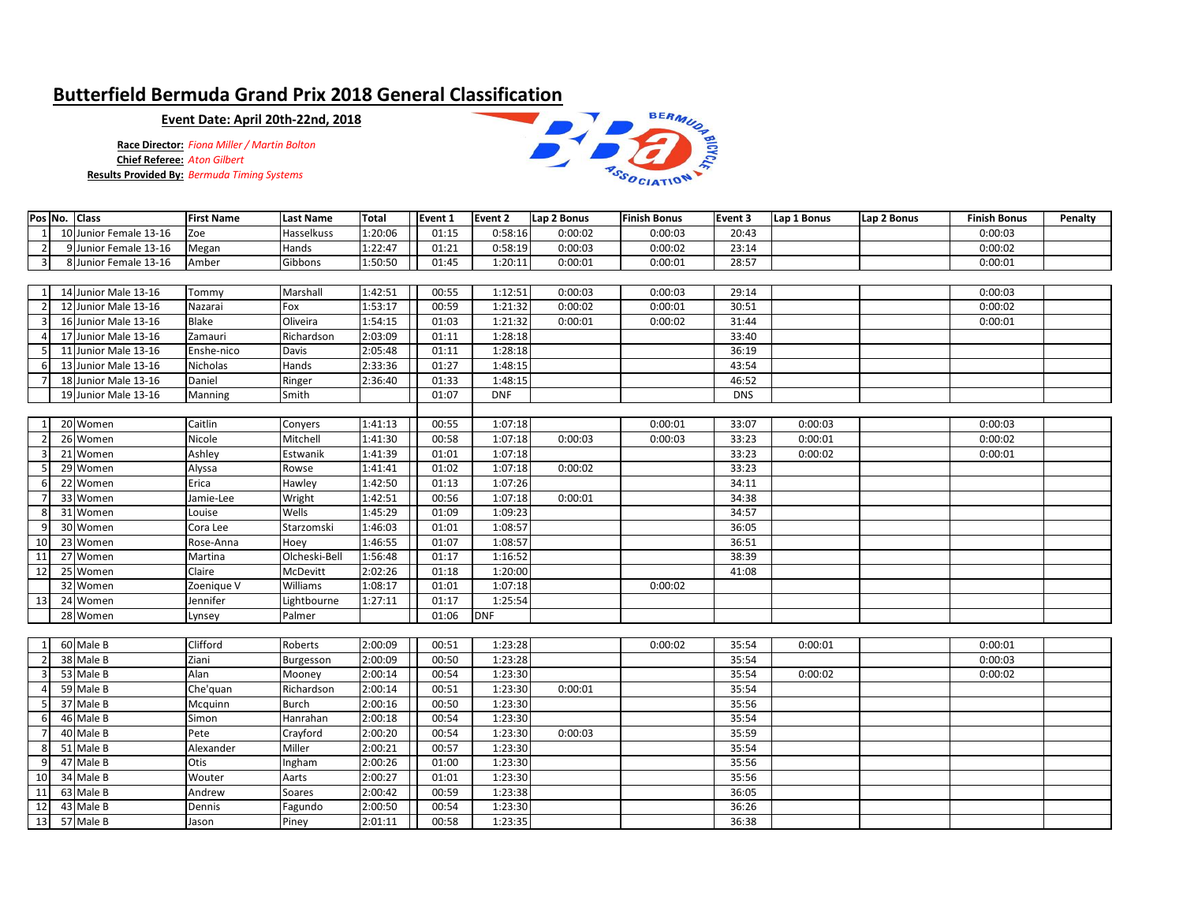## **Butterfield Bermuda Grand Prix 2018 General Classification**

## **Event Date: April 20th-22nd, 2018**

**Race Director:** *Fiona Miller / Martin Bolton* **Chief Referee:** *Aton Gilbert* **Results Provided By:** *Bermuda Timing Systems*



|  |                         | Pos No. Class          | <b>First Name</b> | <b>Last Name</b>  | <b>Total</b> | Event 1 | Event 2    | Lap 2 Bonus | <b>Finish Bonus</b> | Event 3    | Lap 1 Bonus | Lap 2 Bonus | <b>Finish Bonus</b> | Penalty |
|--|-------------------------|------------------------|-------------------|-------------------|--------------|---------|------------|-------------|---------------------|------------|-------------|-------------|---------------------|---------|
|  | 1                       | 10 Junior Female 13-16 | Zoe               | <b>Hasselkuss</b> | 1:20:06      | 01:15   | 0:58:16    | 0:00:02     | 0:00:03             | 20:43      |             |             | 0:00:03             |         |
|  | $\overline{2}$          | 9 Junior Female 13-16  | Megan             | Hands             | 1:22:47      | 01:21   | 0:58:19    | 0:00:03     | 0:00:02             | 23:14      |             |             | 0:00:02             |         |
|  | $\overline{\mathbf{3}}$ | 8 Junior Female 13-16  | Amber             | Gibbons           | 1:50:50      | 01:45   | 1:20:11    | 0:00:01     | 0:00:01             | 28:57      |             |             | 0:00:01             |         |
|  |                         |                        |                   |                   |              |         |            |             |                     |            |             |             |                     |         |
|  | 1                       | 14 Junior Male 13-16   | Tommy             | Marshall          | 1:42:51      | 00:55   | 1:12:51    | 0:00:03     | 0:00:03             | 29:14      |             |             | 0:00:03             |         |
|  |                         | 12 Junior Male 13-16   | Nazarai           | Fox               | 1:53:17      | 00:59   | 1:21:32    | 0:00:02     | 0:00:01             | 30:51      |             |             | 0:00:02             |         |
|  | 3                       | 16 Junior Male 13-16   | Blake             | Oliveira          | 1:54:15      | 01:03   | 1:21:32    | 0:00:01     | 0:00:02             | 31:44      |             |             | 0:00:01             |         |
|  |                         | 17 Junior Male 13-16   | Zamauri           | Richardson        | 2:03:09      | 01:11   | 1:28:18    |             |                     | 33:40      |             |             |                     |         |
|  |                         | 11 Junior Male 13-16   | Enshe-nico        | Davis             | 2:05:48      | 01:11   | 1:28:18    |             |                     | 36:19      |             |             |                     |         |
|  |                         | 13 Junior Male 13-16   | Nicholas          | Hands             | 2:33:36      | 01:27   | 1:48:15    |             |                     | 43:54      |             |             |                     |         |
|  |                         | 18 Junior Male 13-16   | Daniel            | Ringer            | 2:36:40      | 01:33   | 1:48:15    |             |                     | 46:52      |             |             |                     |         |
|  |                         | 19 Junior Male 13-16   | Manning           | Smith             |              | 01:07   | <b>DNF</b> |             |                     | <b>DNS</b> |             |             |                     |         |
|  |                         |                        |                   |                   |              |         |            |             |                     |            |             |             |                     |         |
|  | $\overline{1}$          | 20 Women               | Caitlin           | Conyers           | 1:41:13      | 00:55   | 1:07:18    |             | 0:00:01             | 33:07      | 0:00:03     |             | 0:00:03             |         |
|  |                         | 26 Women               | Nicole            | Mitchell          | 1:41:30      | 00:58   | 1:07:18    | 0:00:03     | 0:00:03             | 33:23      | 0:00:01     |             | 0:00:02             |         |
|  | 3                       | 21 Women               | Ashley            | Estwanik          | 1:41:39      | 01:01   | 1:07:18    |             |                     | 33:23      | 0:00:02     |             | 0:00:01             |         |
|  | 5                       | 29 Women               | Alyssa            | Rowse             | 1:41:41      | 01:02   | 1:07:18    | 0:00:02     |                     | 33:23      |             |             |                     |         |
|  | 6                       | 22 Women               | Erica             | Hawley            | 1:42:50      | 01:13   | 1:07:26    |             |                     | 34:11      |             |             |                     |         |
|  |                         | 33 Women               | Jamie-Lee         | Wright            | 1:42:51      | 00:56   | 1:07:18    | 0:00:01     |                     | 34:38      |             |             |                     |         |
|  | 8                       | 31 Women               | Louise            | Wells             | 1:45:29      | 01:09   | 1:09:23    |             |                     | 34:57      |             |             |                     |         |
|  |                         | 30 Women               | Cora Lee          | Starzomski        | 1:46:03      | 01:01   | 1:08:57    |             |                     | 36:05      |             |             |                     |         |
|  | 10                      | 23 Women               | Rose-Anna         | Hoey              | 1:46:55      | 01:07   | 1:08:57    |             |                     | 36:51      |             |             |                     |         |
|  | 11                      | 27 Women               | Martina           | Olcheski-Bell     | 1:56:48      | 01:17   | 1:16:52    |             |                     | 38:39      |             |             |                     |         |
|  | 12                      | 25 Women               | Claire            | McDevitt          | 2:02:26      | 01:18   | 1:20:00    |             |                     | 41:08      |             |             |                     |         |
|  |                         | 32 Women               | Zoenique V        | Williams          | 1:08:17      | 01:01   | 1:07:18    |             | 0:00:02             |            |             |             |                     |         |
|  | 13                      | 24 Women               | Jennifer          | Lightbourne       | 1:27:11      | 01:17   | 1:25:54    |             |                     |            |             |             |                     |         |
|  |                         | 28 Women               | Lynsey            | Palmer            |              | 01:06   | <b>DNF</b> |             |                     |            |             |             |                     |         |
|  |                         |                        |                   |                   |              |         |            |             |                     |            |             |             |                     |         |
|  | $\mathbf{1}$            | 60 Male B              | Clifford          | Roberts           | 2:00:09      | 00:51   | 1:23:28    |             | 0:00:02             | 35:54      | 0:00:01     |             | 0:00:01             |         |
|  |                         | 38 Male B              | Ziani             | Burgesson         | 2:00:09      | 00:50   | 1:23:28    |             |                     | 35:54      |             |             | 0:00:03             |         |
|  | 3                       | 53 Male B              | Alan              | Mooney            | 2:00:14      | 00:54   | 1:23:30    |             |                     | 35:54      | 0:00:02     |             | 0:00:02             |         |
|  |                         | 59 Male B              | Che'quan          | Richardson        | 2:00:14      | 00:51   | 1:23:30    | 0:00:01     |                     | 35:54      |             |             |                     |         |
|  |                         | 37 Male B              | Mcquinn           | <b>Burch</b>      | 2:00:16      | 00:50   | 1:23:30    |             |                     | 35:56      |             |             |                     |         |
|  | 6                       | 46 Male B              | Simon             | Hanrahan          | 2:00:18      | 00:54   | 1:23:30    |             |                     | 35:54      |             |             |                     |         |
|  |                         | 40 Male B              | Pete              | Crayford          | 2:00:20      | 00:54   | 1:23:30    | 0:00:03     |                     | 35:59      |             |             |                     |         |
|  | 8                       | 51 Male B              | Alexander         | Miller            | 2:00:21      | 00:57   | 1:23:30    |             |                     | 35:54      |             |             |                     |         |
|  | 9                       | 47 Male B              | Otis              | Ingham            | 2:00:26      | 01:00   | 1:23:30    |             |                     | 35:56      |             |             |                     |         |
|  | 10                      | 34 Male B              | Wouter            | Aarts             | 2:00:27      | 01:01   | 1:23:30    |             |                     | 35:56      |             |             |                     |         |
|  | 11                      | 63 Male B              | Andrew            | Soares            | 2:00:42      | 00:59   | 1:23:38    |             |                     | 36:05      |             |             |                     |         |
|  | 12                      | 43 Male B              | Dennis            | Fagundo           | 2:00:50      | 00:54   | 1:23:30    |             |                     | 36:26      |             |             |                     |         |
|  |                         | 13 57 Male B           | Jason             | Piney             | 2:01:11      | 00:58   | 1:23:35    |             |                     | 36:38      |             |             |                     |         |